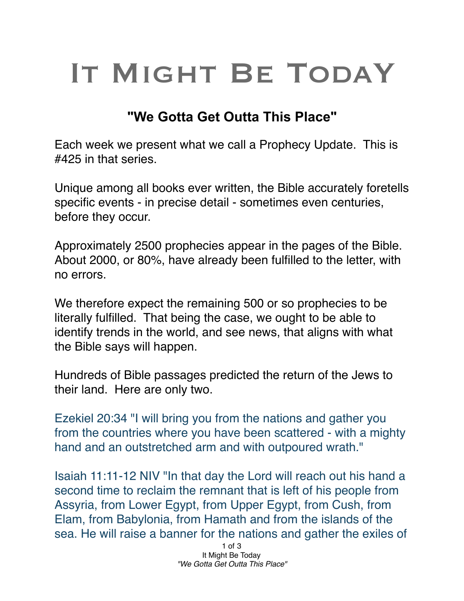## IT MIGHT BE TODAY

## **"We Gotta Get Outta This Place"**

Each week we present what we call a Prophecy Update. This is #425 in that series.

Unique among all books ever written, the Bible accurately foretells specific events - in precise detail - sometimes even centuries, before they occur.

Approximately 2500 prophecies appear in the pages of the Bible. About 2000, or 80%, have already been fulfilled to the letter, with no errors.

We therefore expect the remaining 500 or so prophecies to be literally fulfilled. That being the case, we ought to be able to identify trends in the world, and see news, that aligns with what the Bible says will happen.

Hundreds of Bible passages predicted the return of the Jews to their land. Here are only two.

Ezekiel 20:34 "I will bring you from the nations and gather you from the countries where you have been scattered - with a mighty hand and an outstretched arm and with outpoured wrath."

Isaiah 11:11-12 NIV "In that day the Lord will reach out his hand a second time to reclaim the remnant that is left of his people from Assyria, from Lower Egypt, from Upper Egypt, from Cush, from Elam, from Babylonia, from Hamath and from the islands of the sea. He will raise a banner for the nations and gather the exiles of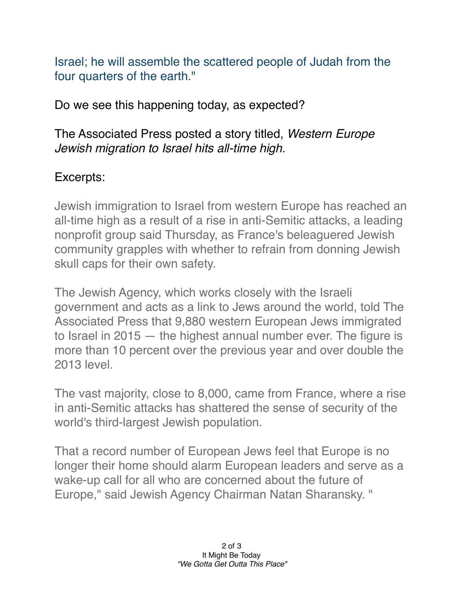Israel; he will assemble the scattered people of Judah from the four quarters of the earth."

Do we see this happening today, as expected?

The Associated Press posted a story titled, *Western Europe Jewish migration to Israel hits all-time high.*

## Excerpts:

Jewish immigration to Israel from western Europe has reached an all-time high as a result of a rise in anti-Semitic attacks, a leading nonprofit group said Thursday, as France's beleaguered Jewish community grapples with whether to refrain from donning Jewish skull caps for their own safety.

The Jewish Agency, which works closely with the Israeli government and acts as a link to Jews around the world, told The Associated Press that 9,880 western European Jews immigrated to Israel in 2015 — the highest annual number ever. The figure is more than 10 percent over the previous year and over double the 2013 level.

The vast majority, close to 8,000, came from France, where a rise in anti-Semitic attacks has shattered the sense of security of the world's third-largest Jewish population.

That a record number of European Jews feel that Europe is no longer their home should alarm European leaders and serve as a wake-up call for all who are concerned about the future of Europe," said Jewish Agency Chairman Natan Sharansky. "